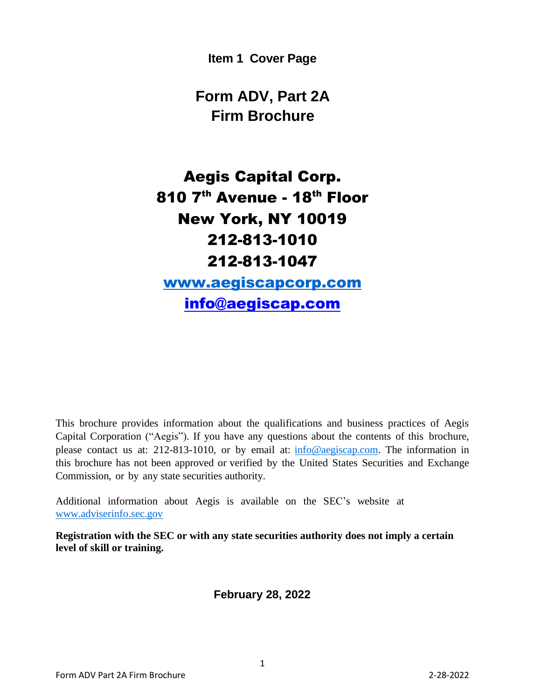**Item 1 Cover Page**

# **Form ADV, Part 2A Firm Brochure**

Aegis Capital Corp. 810 7<sup>th</sup> Avenue - 18<sup>th</sup> Floor New York, NY 10019 212-813-1010 212-813-1047 [www.aegiscapcorp.com](http://www.aegiscapcorp.com/)

[info@aegiscap.com](mailto:info@aegiscap.com)

This brochure provides information about the qualifications and business practices of Aegis Capital Corporation ("Aegis"). If you have any questions about the contents of this brochure, please contact us at: 212-813-1010, or by email at: [info@aegiscap.com.](mailto:info@aegiscap.com) The information in this brochure has not been approved or verified by the United States Securities and Exchange Commission, or by any state securities authority.

Additional information about Aegis is available on the SEC's website at [www.adviserinfo.sec.gov](http://www.adviserinfo.sec.gov/)

**Registration with the SEC or with any state securities authority does not imply a certain level of skill or training.**

**February 28, 2022**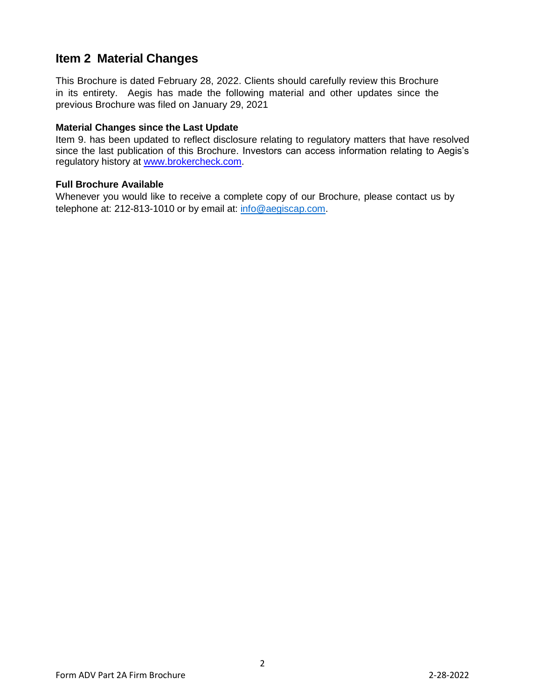## <span id="page-1-0"></span>**Item 2 Material Changes**

This Brochure is dated February 28, 2022. Clients should carefully review this Brochure in its entirety. Aegis has made the following material and other updates since the previous Brochure was filed on January 29, 2021

#### <span id="page-1-1"></span>**Material Changes since the Last Update**

Item 9. has been updated to reflect disclosure relating to regulatory matters that have resolved since the last publication of this Brochure. Investors can access information relating to Aegis's regulatory history at [www.brokercheck.com.](http://www.brokercheck.com/)

#### <span id="page-1-2"></span>**Full Brochure Available**

Whenever you would like to receive a complete copy of our Brochure, please contact us by telephone at: 212-813-1010 or by email at: [info@aegiscap.com.](mailto:info@aegiscap.com)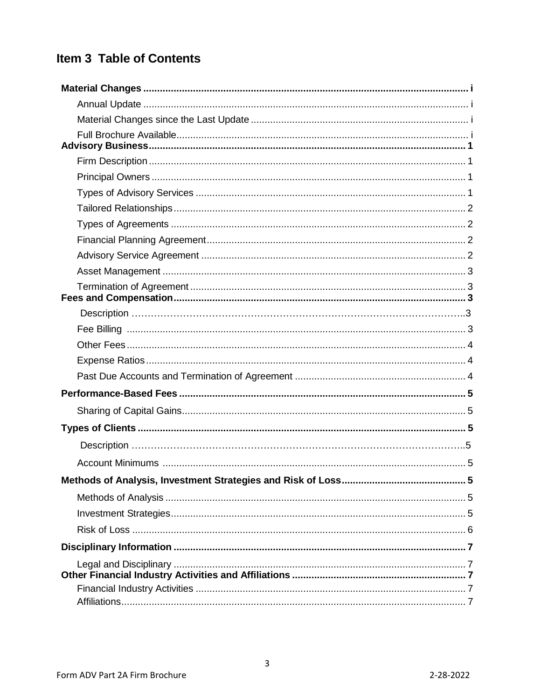## **Item 3 Table of Contents**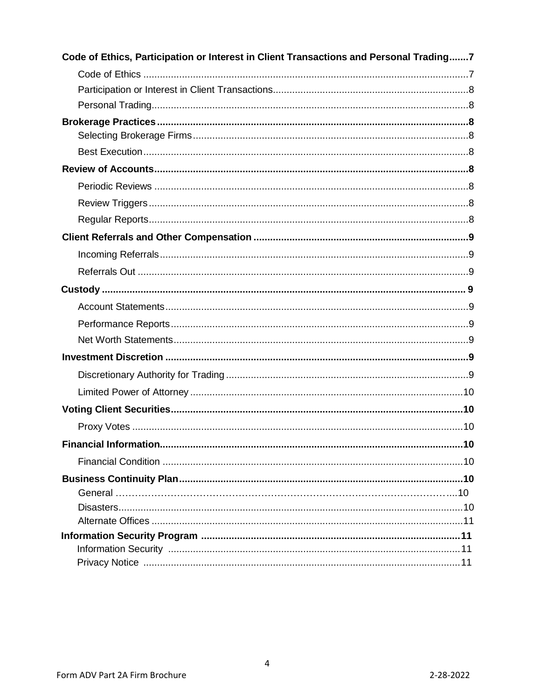| Code of Ethics, Participation or Interest in Client Transactions and Personal Trading7 |     |
|----------------------------------------------------------------------------------------|-----|
|                                                                                        |     |
|                                                                                        |     |
|                                                                                        |     |
|                                                                                        |     |
|                                                                                        |     |
|                                                                                        |     |
|                                                                                        |     |
|                                                                                        |     |
|                                                                                        |     |
|                                                                                        |     |
|                                                                                        |     |
|                                                                                        |     |
|                                                                                        |     |
|                                                                                        |     |
|                                                                                        |     |
|                                                                                        |     |
|                                                                                        |     |
|                                                                                        |     |
|                                                                                        |     |
|                                                                                        |     |
|                                                                                        |     |
|                                                                                        |     |
|                                                                                        | .10 |
|                                                                                        |     |
|                                                                                        |     |
|                                                                                        |     |
|                                                                                        |     |
|                                                                                        |     |
|                                                                                        |     |
|                                                                                        |     |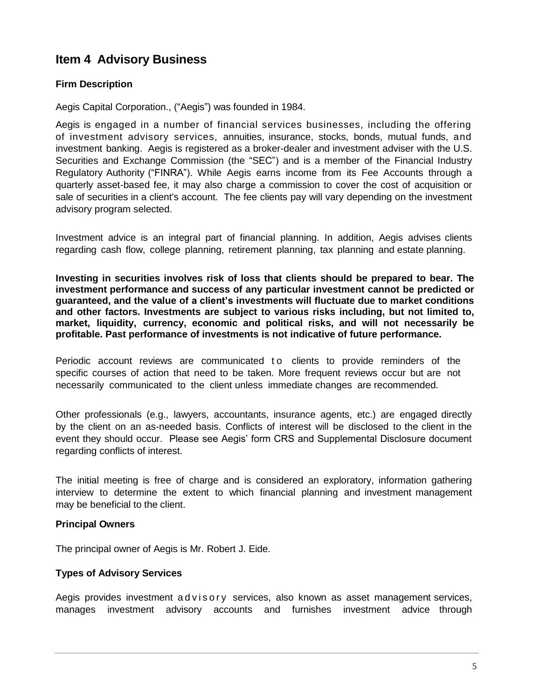## <span id="page-4-0"></span>**Item 4 Advisory Business**

### <span id="page-4-1"></span>**Firm Description**

Aegis Capital Corporation., ("Aegis") was founded in 1984.

Aegis is engaged in a number of financial services businesses, including the offering of investment advisory services, annuities, insurance, stocks, bonds, mutual funds, and investment banking. Aegis is registered as a broker-dealer and investment adviser with the U.S. Securities and Exchange Commission (the "SEC") and is a member of the Financial Industry Regulatory Authority ("FINRA"). While Aegis earns income from its Fee Accounts through a quarterly asset-based fee, it may also charge a commission to cover the cost of acquisition or sale of securities in a client's account. The fee clients pay will vary depending on the investment advisory program selected.

Investment advice is an integral part of financial planning. In addition, Aegis advises clients regarding cash flow, college planning, retirement planning, tax planning and estate planning.

**Investing in securities involves risk of loss that clients should be prepared to bear. The investment performance and success of any particular investment cannot be predicted or guaranteed, and the value of a client's investments will fluctuate due to market conditions and other factors. Investments are subject to various risks including, but not limited to, market, liquidity, currency, economic and political risks, and will not necessarily be profitable. Past performance of investments is not indicative of future performance.**

Periodic account reviews are communicated to clients to provide reminders of the specific courses of action that need to be taken. More frequent reviews occur but are not necessarily communicated to the client unless immediate changes are recommended.

Other professionals (e.g., lawyers, accountants, insurance agents, etc.) are engaged directly by the client on an as-needed basis. Conflicts of interest will be disclosed to the client in the event they should occur. Please see Aegis' form CRS and Supplemental Disclosure document regarding conflicts of interest.

The initial meeting is free of charge and is considered an exploratory, information gathering interview to determine the extent to which financial planning and investment management may be beneficial to the client.

#### <span id="page-4-2"></span>**Principal Owners**

The principal owner of Aegis is Mr. Robert J. Eide.

#### <span id="page-4-3"></span>**Types of Advisory Services**

Aegis provides investment ad v is o r y services, also known as asset management services, manages investment advisory accounts and furnishes investment advice through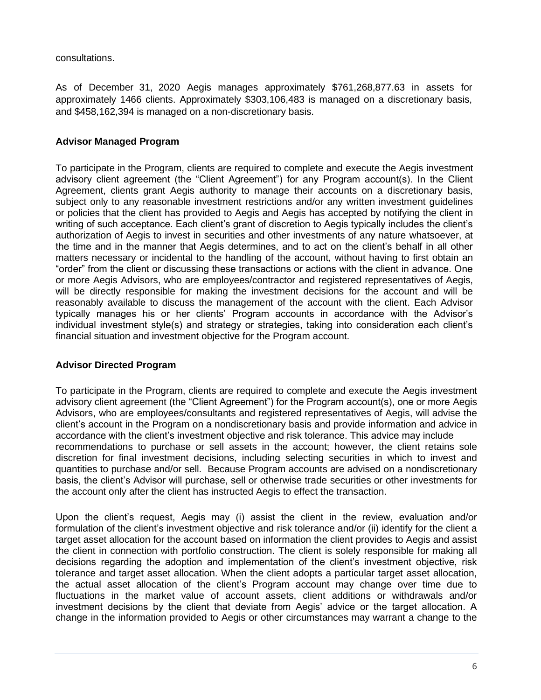consultations.

As of December 31, 2020 Aegis manages approximately \$761,268,877.63 in assets for approximately 1466 clients. Approximately \$303,106,483 is managed on a discretionary basis, and \$458,162,394 is managed on a non-discretionary basis.

### <span id="page-5-0"></span>**Advisor Managed Program**

To participate in the Program, clients are required to complete and execute the Aegis investment advisory client agreement (the "Client Agreement") for any Program account(s). In the Client Agreement, clients grant Aegis authority to manage their accounts on a discretionary basis, subject only to any reasonable investment restrictions and/or any written investment guidelines or policies that the client has provided to Aegis and Aegis has accepted by notifying the client in writing of such acceptance. Each client's grant of discretion to Aegis typically includes the client's authorization of Aegis to invest in securities and other investments of any nature whatsoever, at the time and in the manner that Aegis determines, and to act on the client's behalf in all other matters necessary or incidental to the handling of the account, without having to first obtain an "order" from the client or discussing these transactions or actions with the client in advance. One or more Aegis Advisors, who are employees/contractor and registered representatives of Aegis, will be directly responsible for making the investment decisions for the account and will be reasonably available to discuss the management of the account with the client. Each Advisor typically manages his or her clients' Program accounts in accordance with the Advisor's individual investment style(s) and strategy or strategies, taking into consideration each client's financial situation and investment objective for the Program account.

#### **Advisor Directed Program**

To participate in the Program, clients are required to complete and execute the Aegis investment advisory client agreement (the "Client Agreement") for the Program account(s), one or more Aegis Advisors, who are employees/consultants and registered representatives of Aegis, will advise the client's account in the Program on a nondiscretionary basis and provide information and advice in accordance with the client's investment objective and risk tolerance. This advice may include recommendations to purchase or sell assets in the account; however, the client retains sole discretion for final investment decisions, including selecting securities in which to invest and quantities to purchase and/or sell. Because Program accounts are advised on a nondiscretionary basis, the client's Advisor will purchase, sell or otherwise trade securities or other investments for the account only after the client has instructed Aegis to effect the transaction.

Upon the client's request, Aegis may (i) assist the client in the review, evaluation and/or formulation of the client's investment objective and risk tolerance and/or (ii) identify for the client a target asset allocation for the account based on information the client provides to Aegis and assist the client in connection with portfolio construction. The client is solely responsible for making all decisions regarding the adoption and implementation of the client's investment objective, risk tolerance and target asset allocation. When the client adopts a particular target asset allocation, the actual asset allocation of the client's Program account may change over time due to fluctuations in the market value of account assets, client additions or withdrawals and/or investment decisions by the client that deviate from Aegis' advice or the target allocation. A change in the information provided to Aegis or other circumstances may warrant a change to the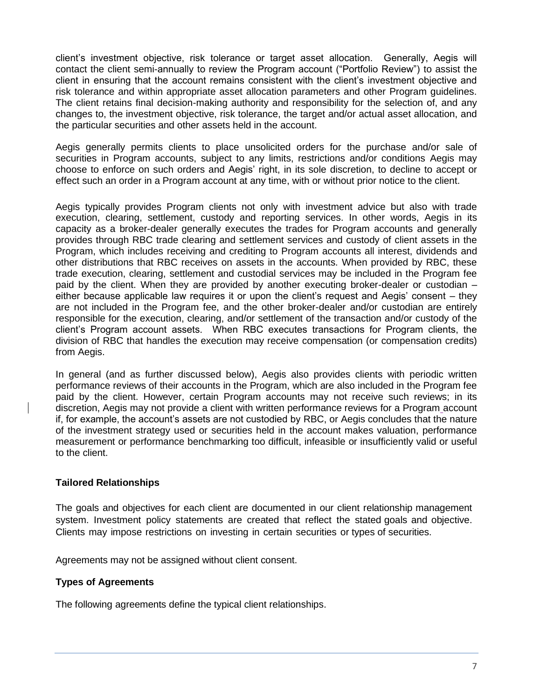client's investment objective, risk tolerance or target asset allocation. Generally, Aegis will contact the client semi-annually to review the Program account ("Portfolio Review") to assist the client in ensuring that the account remains consistent with the client's investment objective and risk tolerance and within appropriate asset allocation parameters and other Program guidelines. The client retains final decision-making authority and responsibility for the selection of, and any changes to, the investment objective, risk tolerance, the target and/or actual asset allocation, and the particular securities and other assets held in the account.

Aegis generally permits clients to place unsolicited orders for the purchase and/or sale of securities in Program accounts, subject to any limits, restrictions and/or conditions Aegis may choose to enforce on such orders and Aegis' right, in its sole discretion, to decline to accept or effect such an order in a Program account at any time, with or without prior notice to the client.

Aegis typically provides Program clients not only with investment advice but also with trade execution, clearing, settlement, custody and reporting services. In other words, Aegis in its capacity as a broker-dealer generally executes the trades for Program accounts and generally provides through RBC trade clearing and settlement services and custody of client assets in the Program, which includes receiving and crediting to Program accounts all interest, dividends and other distributions that RBC receives on assets in the accounts. When provided by RBC, these trade execution, clearing, settlement and custodial services may be included in the Program fee paid by the client. When they are provided by another executing broker-dealer or custodian – either because applicable law requires it or upon the client's request and Aegis' consent – they are not included in the Program fee, and the other broker-dealer and/or custodian are entirely responsible for the execution, clearing, and/or settlement of the transaction and/or custody of the client's Program account assets. When RBC executes transactions for Program clients, the division of RBC that handles the execution may receive compensation (or compensation credits) from Aegis.

In general (and as further discussed below), Aegis also provides clients with periodic written performance reviews of their accounts in the Program, which are also included in the Program fee paid by the client. However, certain Program accounts may not receive such reviews; in its discretion, Aegis may not provide a client with written performance reviews for a Program account if, for example, the account's assets are not custodied by RBC, or Aegis concludes that the nature of the investment strategy used or securities held in the account makes valuation, performance measurement or performance benchmarking too difficult, infeasible or insufficiently valid or useful to the client.

#### **Tailored Relationships**

The goals and objectives for each client are documented in our client relationship management system. Investment policy statements are created that reflect the stated goals and objective. Clients may impose restrictions on investing in certain securities or types of securities.

Agreements may not be assigned without client consent.

### **Types of Agreements**

The following agreements define the typical client relationships.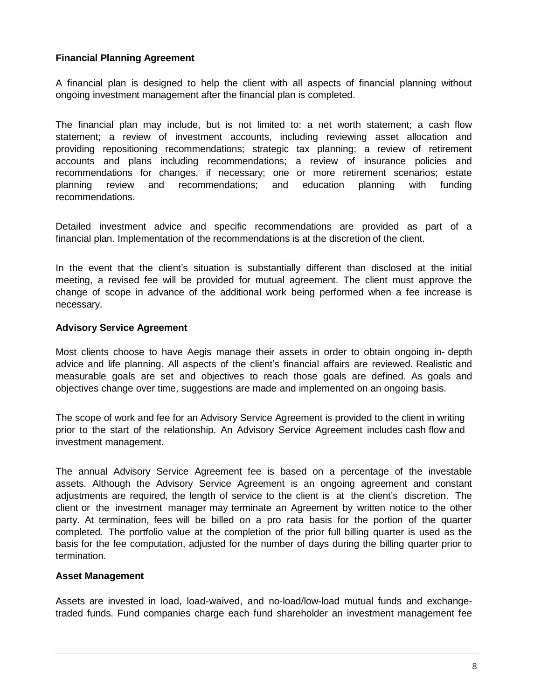#### <span id="page-7-0"></span>**Financial Planning Agreement**

A financial plan is designed to help the client with all aspects of financial planning without ongoing investment management after the financial plan is completed.

The financial plan may include, but is not limited to: a net worth statement; a cash flow statement; a review of investment accounts, including reviewing asset allocation and providing repositioning recommendations; strategic tax planning; a review of retirement accounts and plans including recommendations; a review of insurance policies and recommendations for changes, if necessary; one or more retirement scenarios; estate planning review and recommendations; and education planning with funding recommendations.

Detailed investment advice and specific recommendations are provided as part of a financial plan. Implementation of the recommendations is at the discretion of the client.

In the event that the client's situation is substantially different than disclosed at the initial meeting, a revised fee will be provided for mutual agreement. The client must approve the change of scope in advance of the additional work being performed when a fee increase is necessary.

#### <span id="page-7-1"></span>**Advisory Service Agreement**

Most clients choose to have Aegis manage their assets in order to obtain ongoing in- depth advice and life planning. All aspects of the client's financial affairs are reviewed. Realistic and measurable goals are set and objectives to reach those goals are defined. As goals and objectives change over time, suggestions are made and implemented on an ongoing basis.

The scope of work and fee for an Advisory Service Agreement is provided to the client in writing prior to the start of the relationship. An Advisory Service Agreement includes cash flow and investment management.

The annual Advisory Service Agreement fee is based on a percentage of the investable assets. Although the Advisory Service Agreement is an ongoing agreement and constant adjustments are required, the length of service to the client is at the client's discretion. The client or the investment manager may terminate an Agreement by written notice to the other party. At termination, fees will be billed on a pro rata basis for the portion of the quarter completed. The portfolio value at the completion of the prior full billing quarter is used as the basis for the fee computation, adjusted for the number of days during the billing quarter prior to termination.

#### <span id="page-7-2"></span>**Asset Management**

Assets are invested in load, load-waived, and no-load/low-load mutual funds and exchangetraded funds. Fund companies charge each fund shareholder an investment management fee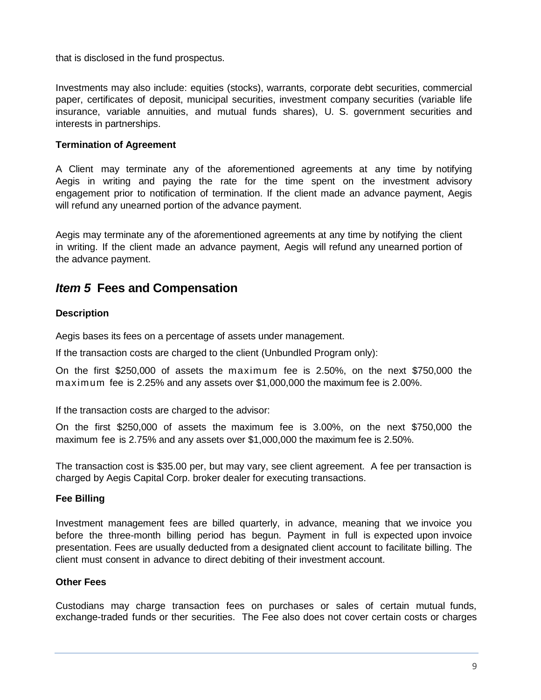that is disclosed in the fund prospectus.

Investments may also include: equities (stocks), warrants, corporate debt securities, commercial paper, certificates of deposit, municipal securities, investment company securities (variable life insurance, variable annuities, and mutual funds shares), U. S. government securities and interests in partnerships.

#### <span id="page-8-0"></span>**Termination of Agreement**

A Client may terminate any of the aforementioned agreements at any time by notifying Aegis in writing and paying the rate for the time spent on the investment advisory engagement prior to notification of termination. If the client made an advance payment, Aegis will refund any unearned portion of the advance payment.

Aegis may terminate any of the aforementioned agreements at any time by notifying the client in writing. If the client made an advance payment, Aegis will refund any unearned portion of the advance payment.

### <span id="page-8-1"></span>*Item 5* **Fees and Compensation**

#### **Description**

Aegis bases its fees on a percentage of assets under management.

If the transaction costs are charged to the client (Unbundled Program only):

On the first \$250,000 of assets the maximum fee is 2.50%, on the next \$750,000 the maximum fee is 2.25% and any assets over \$1,000,000 the maximum fee is 2.00%.

If the transaction costs are charged to the advisor:

On the first \$250,000 of assets the maximum fee is 3.00%, on the next \$750,000 the maximum fee is 2.75% and any assets over \$1,000,000 the maximum fee is 2.50%.

The transaction cost is \$35.00 per, but may vary, see client agreement. A fee per transaction is charged by Aegis Capital Corp. broker dealer for executing transactions.

#### **Fee Billing**

Investment management fees are billed quarterly, in advance, meaning that we invoice you before the three-month billing period has begun. Payment in full is expected upon invoice presentation. Fees are usually deducted from a designated client account to facilitate billing. The client must consent in advance to direct debiting of their investment account.

#### <span id="page-8-2"></span>**Other Fees**

Custodians may charge transaction fees on purchases or sales of certain mutual funds, exchange-traded funds or ther securities. The Fee also does not cover certain costs or charges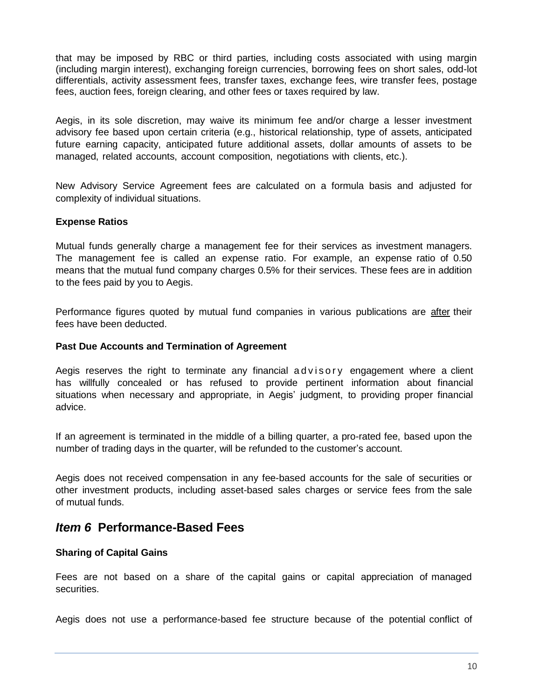that may be imposed by RBC or third parties, including costs associated with using margin (including margin interest), exchanging foreign currencies, borrowing fees on short sales, odd-lot differentials, activity assessment fees, transfer taxes, exchange fees, wire transfer fees, postage fees, auction fees, foreign clearing, and other fees or taxes required by law.

Aegis, in its sole discretion, may waive its minimum fee and/or charge a lesser investment advisory fee based upon certain criteria (e.g., historical relationship, type of assets, anticipated future earning capacity, anticipated future additional assets, dollar amounts of assets to be managed, related accounts, account composition, negotiations with clients, etc.).

New Advisory Service Agreement fees are calculated on a formula basis and adjusted for complexity of individual situations.

#### <span id="page-9-0"></span>**Expense Ratios**

Mutual funds generally charge a management fee for their services as investment managers. The management fee is called an expense ratio. For example, an expense ratio of 0.50 means that the mutual fund company charges 0.5% for their services. These fees are in addition to the fees paid by you to Aegis.

Performance figures quoted by mutual fund companies in various publications are after their fees have been deducted.

#### <span id="page-9-1"></span>**Past Due Accounts and Termination of Agreement**

Aegis reserves the right to terminate any financial advisory engagement where a client has willfully concealed or has refused to provide pertinent information about financial situations when necessary and appropriate, in Aegis' judgment, to providing proper financial advice.

If an agreement is terminated in the middle of a billing quarter, a pro-rated fee, based upon the number of trading days in the quarter, will be refunded to the customer's account.

Aegis does not received compensation in any fee-based accounts for the sale of securities or other investment products, including asset-based sales charges or service fees from the sale of mutual funds.

### <span id="page-9-2"></span>*Item 6* **Performance-Based Fees**

#### <span id="page-9-3"></span>**Sharing of Capital Gains**

Fees are not based on a share of the capital gains or capital appreciation of managed securities.

Aegis does not use a performance-based fee structure because of the potential conflict of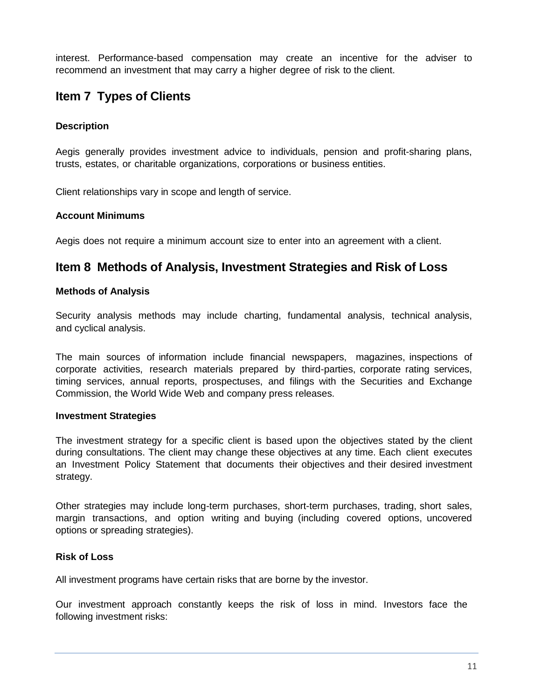interest. Performance-based compensation may create an incentive for the adviser to recommend an investment that may carry a higher degree of risk to the client.

## <span id="page-10-0"></span>**Item 7 Types of Clients**

### **Description**

Aegis generally provides investment advice to individuals, pension and profit-sharing plans, trusts, estates, or charitable organizations, corporations or business entities.

Client relationships vary in scope and length of service.

#### **Account Minimums**

Aegis does not require a minimum account size to enter into an agreement with a client.

## <span id="page-10-1"></span>**Item 8 Methods of Analysis, Investment Strategies and Risk of Loss**

#### <span id="page-10-2"></span>**Methods of Analysis**

Security analysis methods may include charting, fundamental analysis, technical analysis, and cyclical analysis.

The main sources of information include financial newspapers, magazines, inspections of corporate activities, research materials prepared by third-parties, corporate rating services, timing services, annual reports, prospectuses, and filings with the Securities and Exchange Commission, the World Wide Web and company press releases.

#### <span id="page-10-3"></span>**Investment Strategies**

The investment strategy for a specific client is based upon the objectives stated by the client during consultations. The client may change these objectives at any time. Each client executes an Investment Policy Statement that documents their objectives and their desired investment strategy.

Other strategies may include long-term purchases, short-term purchases, trading, short sales, margin transactions, and option writing and buying (including covered options, uncovered options or spreading strategies).

#### <span id="page-10-4"></span>**Risk of Loss**

All investment programs have certain risks that are borne by the investor.

Our investment approach constantly keeps the risk of loss in mind. Investors face the following investment risks: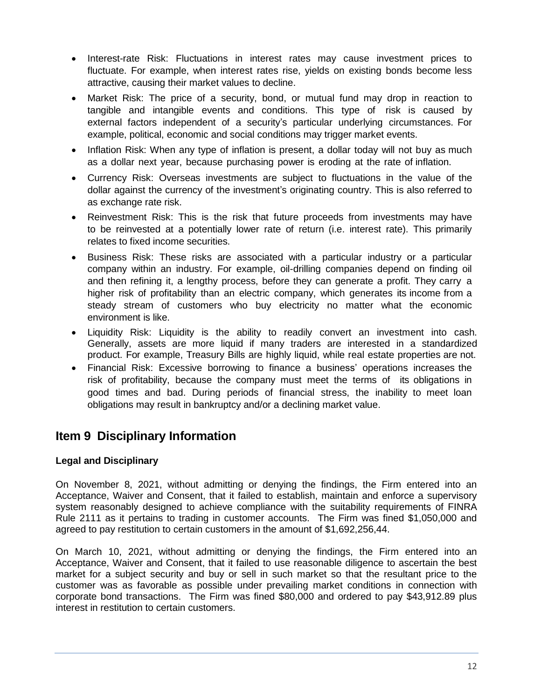- Interest-rate Risk: Fluctuations in interest rates may cause investment prices to fluctuate. For example, when interest rates rise, yields on existing bonds become less attractive, causing their market values to decline.
- Market Risk: The price of a security, bond, or mutual fund may drop in reaction to tangible and intangible events and conditions. This type of risk is caused by external factors independent of a security's particular underlying circumstances. For example, political, economic and social conditions may trigger market events.
- Inflation Risk: When any type of inflation is present, a dollar today will not buy as much as a dollar next year, because purchasing power is eroding at the rate of inflation.
- Currency Risk: Overseas investments are subject to fluctuations in the value of the dollar against the currency of the investment's originating country. This is also referred to as exchange rate risk.
- Reinvestment Risk: This is the risk that future proceeds from investments may have to be reinvested at a potentially lower rate of return (i.e. interest rate). This primarily relates to fixed income securities.
- Business Risk: These risks are associated with a particular industry or a particular company within an industry. For example, oil-drilling companies depend on finding oil and then refining it, a lengthy process, before they can generate a profit. They carry a higher risk of profitability than an electric company, which generates its income from a steady stream of customers who buy electricity no matter what the economic environment is like.
- Liquidity Risk: Liquidity is the ability to readily convert an investment into cash. Generally, assets are more liquid if many traders are interested in a standardized product. For example, Treasury Bills are highly liquid, while real estate properties are not.
- Financial Risk: Excessive borrowing to finance a business' operations increases the risk of profitability, because the company must meet the terms of its obligations in good times and bad. During periods of financial stress, the inability to meet loan obligations may result in bankruptcy and/or a declining market value.

## **Item 9 Disciplinary Information**

### <span id="page-11-0"></span>**Legal and Disciplinary**

On November 8, 2021, without admitting or denying the findings, the Firm entered into an Acceptance, Waiver and Consent, that it failed to establish, maintain and enforce a supervisory system reasonably designed to achieve compliance with the suitability requirements of FINRA Rule 2111 as it pertains to trading in customer accounts. The Firm was fined \$1,050,000 and agreed to pay restitution to certain customers in the amount of \$1,692,256,44.

On March 10, 2021, without admitting or denying the findings, the Firm entered into an Acceptance, Waiver and Consent, that it failed to use reasonable diligence to ascertain the best market for a subject security and buy or sell in such market so that the resultant price to the customer was as favorable as possible under prevailing market conditions in connection with corporate bond transactions. The Firm was fined \$80,000 and ordered to pay \$43,912.89 plus interest in restitution to certain customers.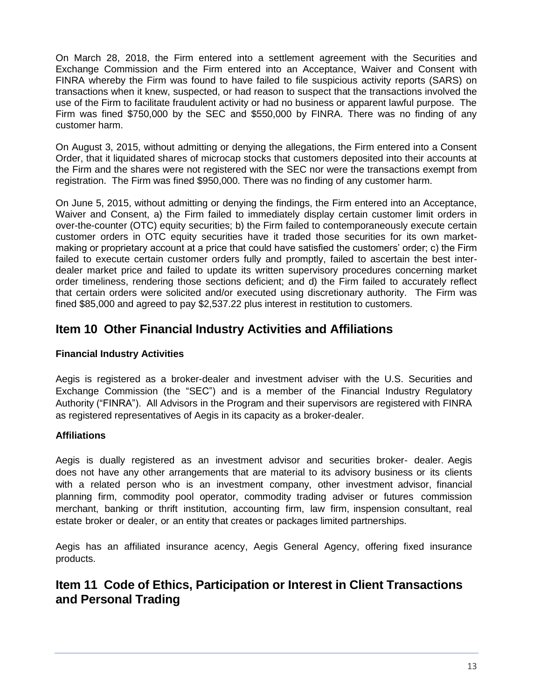On March 28, 2018, the Firm entered into a settlement agreement with the Securities and Exchange Commission and the Firm entered into an Acceptance, Waiver and Consent with FINRA whereby the Firm was found to have failed to file suspicious activity reports (SARS) on transactions when it knew, suspected, or had reason to suspect that the transactions involved the use of the Firm to facilitate fraudulent activity or had no business or apparent lawful purpose. The Firm was fined \$750,000 by the SEC and \$550,000 by FINRA. There was no finding of any customer harm.

On August 3, 2015, without admitting or denying the allegations, the Firm entered into a Consent Order, that it liquidated shares of microcap stocks that customers deposited into their accounts at the Firm and the shares were not registered with the SEC nor were the transactions exempt from registration. The Firm was fined \$950,000. There was no finding of any customer harm.

On June 5, 2015, without admitting or denying the findings, the Firm entered into an Acceptance, Waiver and Consent, a) the Firm failed to immediately display certain customer limit orders in over-the-counter (OTC) equity securities; b) the Firm failed to contemporaneously execute certain customer orders in OTC equity securities have it traded those securities for its own marketmaking or proprietary account at a price that could have satisfied the customers' order; c) the Firm failed to execute certain customer orders fully and promptly, failed to ascertain the best interdealer market price and failed to update its written supervisory procedures concerning market order timeliness, rendering those sections deficient; and d) the Firm failed to accurately reflect that certain orders were solicited and/or executed using discretionary authority. The Firm was fined \$85,000 and agreed to pay \$2,537.22 plus interest in restitution to customers.

## <span id="page-12-0"></span>**Item 10 Other Financial Industry Activities and Affiliations**

### <span id="page-12-1"></span>**Financial Industry Activities**

Aegis is registered as a broker-dealer and investment adviser with the U.S. Securities and Exchange Commission (the "SEC") and is a member of the Financial Industry Regulatory Authority ("FINRA"). All Advisors in the Program and their supervisors are registered with FINRA as registered representatives of Aegis in its capacity as a broker-dealer.

### <span id="page-12-2"></span>**Affiliations**

Aegis is dually registered as an investment advisor and securities broker- dealer. Aegis does not have any other arrangements that are material to its advisory business or its clients with a related person who is an investment company, other investment advisor, financial planning firm, commodity pool operator, commodity trading adviser or futures commission merchant, banking or thrift institution, accounting firm, law firm, inspension consultant, real estate broker or dealer, or an entity that creates or packages limited partnerships.

Aegis has an affiliated insurance acency, Aegis General Agency, offering fixed insurance products.

## <span id="page-12-3"></span>**Item 11****Code of Ethics, Participation or Interest in Client Transactions and Personal Trading**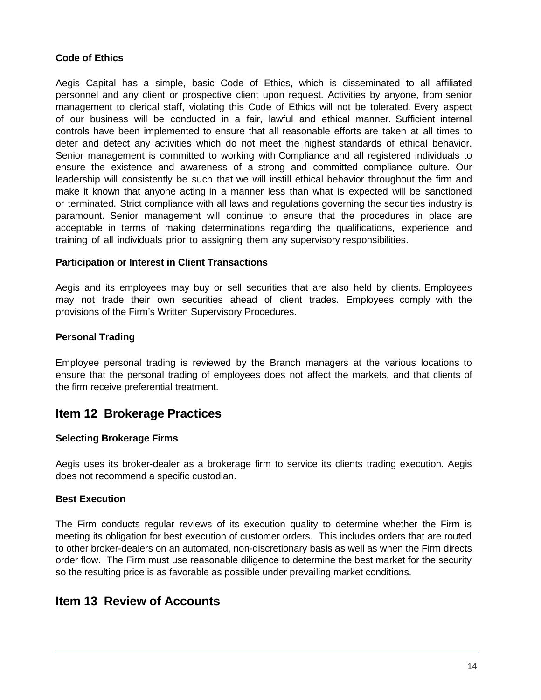#### <span id="page-13-0"></span>**Code of Ethics**

Aegis Capital has a simple, basic Code of Ethics, which is disseminated to all affiliated personnel and any client or prospective client upon request. Activities by anyone, from senior management to clerical staff, violating this Code of Ethics will not be tolerated. Every aspect of our business will be conducted in a fair, lawful and ethical manner. Sufficient internal controls have been implemented to ensure that all reasonable efforts are taken at all times to deter and detect any activities which do not meet the highest standards of ethical behavior. Senior management is committed to working with Compliance and all registered individuals to ensure the existence and awareness of a strong and committed compliance culture. Our leadership will consistently be such that we will instill ethical behavior throughout the firm and make it known that anyone acting in a manner less than what is expected will be sanctioned or terminated. Strict compliance with all laws and regulations governing the securities industry is paramount. Senior management will continue to ensure that the procedures in place are acceptable in terms of making determinations regarding the qualifications, experience and training of all individuals prior to assigning them any supervisory responsibilities.

#### <span id="page-13-1"></span>**Participation or Interest in Client Transactions**

Aegis and its employees may buy or sell securities that are also held by clients. Employees may not trade their own securities ahead of client trades. Employees comply with the provisions of the Firm's Written Supervisory Procedures.

#### <span id="page-13-2"></span>**Personal Trading**

Employee personal trading is reviewed by the Branch managers at the various locations to ensure that the personal trading of employees does not affect the markets, and that clients of the firm receive preferential treatment.

### <span id="page-13-3"></span>**Item 12 Brokerage Practices**

#### <span id="page-13-4"></span>**Selecting Brokerage Firms**

Aegis uses its broker-dealer as a brokerage firm to service its clients trading execution. Aegis does not recommend a specific custodian.

#### <span id="page-13-5"></span>**Best Execution**

The Firm conducts regular reviews of its execution quality to determine whether the Firm is meeting its obligation for best execution of customer orders. This includes orders that are routed to other broker-dealers on an automated, non-discretionary basis as well as when the Firm directs order flow. The Firm must use reasonable diligence to determine the best market for the security so the resulting price is as favorable as possible under prevailing market conditions.

## <span id="page-13-6"></span>**Item 13 Review of Accounts**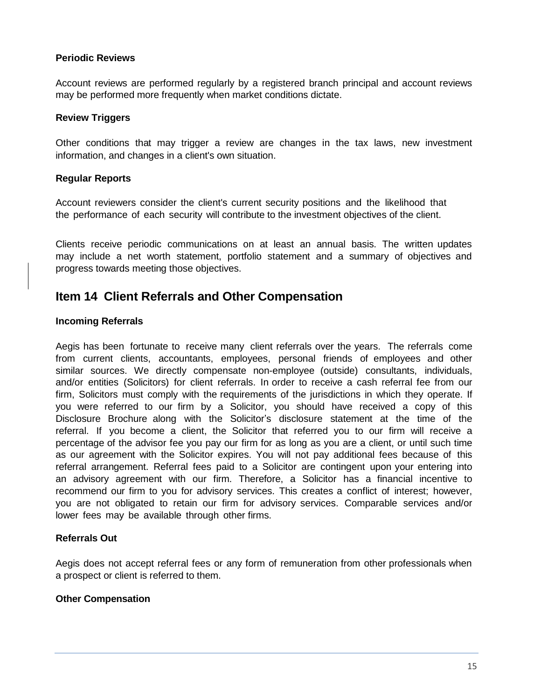#### <span id="page-14-0"></span>**Periodic Reviews**

Account reviews are performed regularly by a registered branch principal and account reviews may be performed more frequently when market conditions dictate.

#### <span id="page-14-1"></span>**Review Triggers**

Other conditions that may trigger a review are changes in the tax laws, new investment information, and changes in a client's own situation.

#### <span id="page-14-2"></span>**Regular Reports**

Account reviewers consider the client's current security positions and the likelihood that the performance of each security will contribute to the investment objectives of the client.

Clients receive periodic communications on at least an annual basis. The written updates may include a net worth statement, portfolio statement and a summary of objectives and progress towards meeting those objectives.

### <span id="page-14-3"></span>**Item 14 Client Referrals and Other Compensation**

#### <span id="page-14-4"></span>**Incoming Referrals**

Aegis has been fortunate to receive many client referrals over the years. The referrals come from current clients, accountants, employees, personal friends of employees and other similar sources. We directly compensate non-employee (outside) consultants, individuals, and/or entities (Solicitors) for client referrals. In order to receive a cash referral fee from our firm, Solicitors must comply with the requirements of the jurisdictions in which they operate. If you were referred to our firm by a Solicitor, you should have received a copy of this Disclosure Brochure along with the Solicitor's disclosure statement at the time of the referral. If you become a client, the Solicitor that referred you to our firm will receive a percentage of the advisor fee you pay our firm for as long as you are a client, or until such time as our agreement with the Solicitor expires. You will not pay additional fees because of this referral arrangement. Referral fees paid to a Solicitor are contingent upon your entering into an advisory agreement with our firm. Therefore, a Solicitor has a financial incentive to recommend our firm to you for advisory services. This creates a conflict of interest; however, you are not obligated to retain our firm for advisory services. Comparable services and/or lower fees may be available through other firms.

#### <span id="page-14-5"></span>**Referrals Out**

Aegis does not accept referral fees or any form of remuneration from other professionals when a prospect or client is referred to them.

#### **Other Compensation**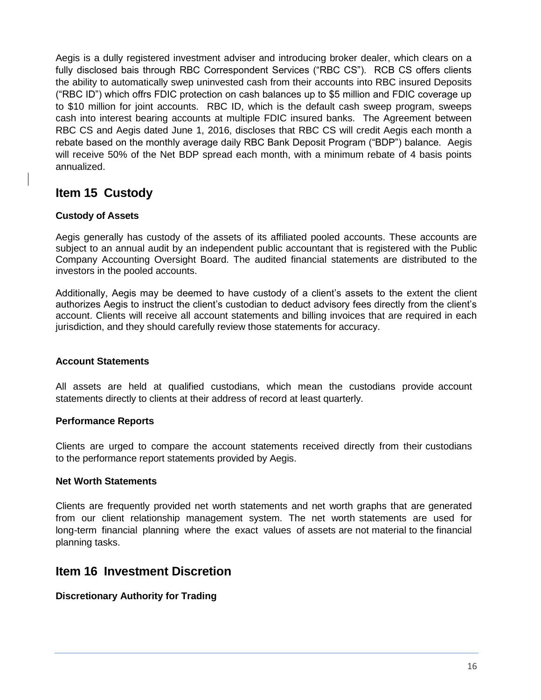Aegis is a dully registered investment adviser and introducing broker dealer, which clears on a fully disclosed bais through RBC Correspondent Services ("RBC CS"). RCB CS offers clients the ability to automatically swep uninvested cash from their accounts into RBC insured Deposits ("RBC ID") which offrs FDIC protection on cash balances up to \$5 million and FDIC coverage up to \$10 million for joint accounts. RBC ID, which is the default cash sweep program, sweeps cash into interest bearing accounts at multiple FDIC insured banks. The Agreement between RBC CS and Aegis dated June 1, 2016, discloses that RBC CS will credit Aegis each month a rebate based on the monthly average daily RBC Bank Deposit Program ("BDP") balance. Aegis will receive 50% of the Net BDP spread each month, with a minimum rebate of 4 basis points annualized.

## <span id="page-15-0"></span>**Item 15 Custody**

#### **Custody of Assets**

Aegis generally has custody of the assets of its affiliated pooled accounts. These accounts are subject to an annual audit by an independent public accountant that is registered with the Public Company Accounting Oversight Board. The audited financial statements are distributed to the investors in the pooled accounts.

Additionally, Aegis may be deemed to have custody of a client's assets to the extent the client authorizes Aegis to instruct the client's custodian to deduct advisory fees directly from the client's account. Clients will receive all account statements and billing invoices that are required in each jurisdiction, and they should carefully review those statements for accuracy.

#### <span id="page-15-1"></span>**Account Statements**

All assets are held at qualified custodians, which mean the custodians provide account statements directly to clients at their address of record at least quarterly.

#### <span id="page-15-2"></span>**Performance Reports**

Clients are urged to compare the account statements received directly from their custodians to the performance report statements provided by Aegis.

#### <span id="page-15-3"></span>**Net Worth Statements**

Clients are frequently provided net worth statements and net worth graphs that are generated from our client relationship management system. The net worth statements are used for long-term financial planning where the exact values of assets are not material to the financial planning tasks.

### <span id="page-15-4"></span>**Item 16 Investment Discretion**

#### <span id="page-15-5"></span>**Discretionary Authority for Trading**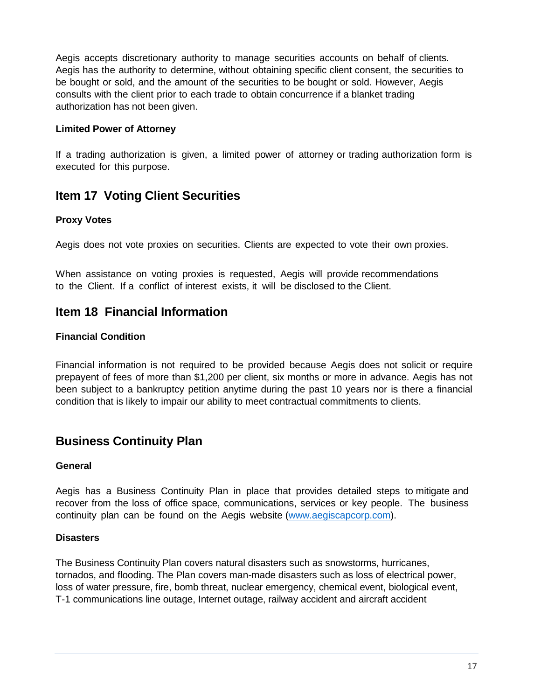Aegis accepts discretionary authority to manage securities accounts on behalf of clients. Aegis has the authority to determine, without obtaining specific client consent, the securities to be bought or sold, and the amount of the securities to be bought or sold. However, Aegis consults with the client prior to each trade to obtain concurrence if a blanket trading authorization has not been given.

### <span id="page-16-0"></span>**Limited Power of Attorney**

If a trading authorization is given, a limited power of attorney or trading authorization form is executed for this purpose.

## **Item 17 Voting Client Securities**

#### <span id="page-16-1"></span>**Proxy Votes**

Aegis does not vote proxies on securities. Clients are expected to vote their own proxies.

When assistance on voting proxies is requested, Aegis will provide recommendations to the Client. If a conflict of interest exists, it will be disclosed to the Client.

## <span id="page-16-2"></span>**Item 18****Financial Information**

#### <span id="page-16-3"></span>**Financial Condition**

Financial information is not required to be provided because Aegis does not solicit or require prepayent of fees of more than \$1,200 per client, six months or more in advance. Aegis has not been subject to a bankruptcy petition anytime during the past 10 years nor is there a financial condition that is likely to impair our ability to meet contractual commitments to clients.

## <span id="page-16-4"></span>**Business Continuity Plan**

#### <span id="page-16-5"></span>**General**

Aegis has a Business Continuity Plan in place that provides detailed steps to mitigate and recover from the loss of office space, communications, services or key people. The business continuity plan can be found on the Aegis website [\(www.aegiscapcorp.com\)](http://www.aegiscapcorp.com/).

#### <span id="page-16-6"></span>**Disasters**

The Business Continuity Plan covers natural disasters such as snowstorms, hurricanes, tornados, and flooding. The Plan covers man-made disasters such as loss of electrical power, loss of water pressure, fire, bomb threat, nuclear emergency, chemical event, biological event, T-1 communications line outage, Internet outage, railway accident and aircraft accident